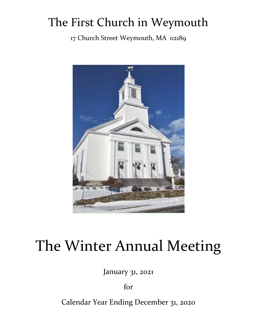## The First Church in Weymouth

17 Church Street Weymouth, MA 02189



# The Winter Annual Meeting

January 31, 2021

for

Calendar Year Ending December 31, 2020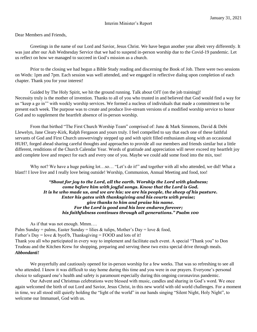Dear Members and Friends,

Greetings in the name of our Lord and Savior, Jesus Christ. We have begun another year albeit very differently. It was just after our Ash Wednesday Service that we had to suspend in-person worship due to the Covid-19 pandemic. Let us reflect on how we managed to succeed in God's mission as a church.

Prior to the closing we had begun a Bible Study reading and discerning the Book of Job. There were two sessions on Weds: 1pm and 7pm. Each session was well attended, and we engaged in reflective dialog upon completion of each chapter. Thank you for your interest!

Guided by The Holy Spirit, we hit the ground running. Talk about OJT (on the job training)! Necessity truly is the mother of invention. Thanks to all of you who trusted in and believed that God would find a way for us "keep a go in'" with weekly worship services. We formed a nucleus of individuals that made a commitment to be present each week. The purpose was to create and produce live-stream versions of a modified worship service to honor God and to supplement the heartfelt absence of in-person worship.

From that birthed "The First Church Worship Team" comprised of: June & Mark Simmons, David & Debi Llewelyn, Jane Cleary-Kirk, Ralph Fergason and yours truly. I feel compelled to say that each one of these faithful servants of God and First Church unswervingly stepped up and with spirit filled enthusiasm along with an occasional HUH?, forged ahead sharing careful thoughts and approaches to provide all our members and friends similar but a little different, renditions of the Church Calendar Year. Words of gratitude and appreciation will never exceed my heartfelt joy and complete love and respect for each and every one of you. Maybe we could add some food into the mix, too!

Why not? We have a huge parking lot…so… "Let's do it!" and together with all who attended, we did! What a blast!! I love live and I really love being outside! Worship, Communion, Annual Meeting and food, too!

> *"Shout for joy to the Lord, all the earth. Worship the Lord with gladness; come before him with joyful songs. Know that the Lord is God. It is he who made us, and we are his; we are his people, the sheep of his pasture. Enter his gates with thanksgiving and his courts with praise; give thanks to him and praise his name. For the Lord is good and his love endures forever; his faithfulness continues through all generations." Psalm 100*

As if that was not enough. Mmm….

Palm Sunday = palms, Easter Sunday = lilies & tulips, Mother's Day = love & food, Father's Day = love  $\&$  byof/b, Thanksgiving = FOOD and lots of it! Thank you all who participated in every way to implement and facilitate each event. A special "Thank you" to Don Trudeau and the Kitchen Krew for shopping, preparing and serving these two extra special drive through meals. *Abbondanti!*

We prayerfully and cautiously opened for in-person worship for a few weeks. That was so refreshing to see all who attended. I know it was difficult to stay home during this time and you were in our prayers. Everyone's personal choice to safeguard one's health and safety is paramount especially during this ongoing coronavirus pandemic.

Our Advent and Christmas celebrations were blessed with music, candles and sharing in God's word. We once again welcomed the birth of out Lord and Savior, Jesus Christ, in this new world with old world challenges. For a moment in time, we all stood still quietly holding the "light of the world" in our hands singing "Silent Night, Holy Night", to welcome our Immanuel, God with us.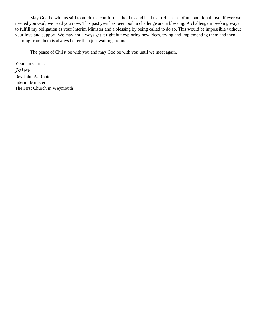May God be with us still to guide us, comfort us, hold us and heal us in His arms of unconditional love. If ever we needed you God, we need you now. This past year has been both a challenge and a blessing. A challenge in seeking ways to fulfill my obligation as your Interim Minister and a blessing by being called to do so. This would be impossible without your love and support. We may not always get it right but exploring new ideas, trying and implementing them and then learning from them is always better than just waiting around.

The peace of Christ be with you and may God be with you until we meet again.

Yours in Christ, *John* Rev John A. Robie Interim Minister The First Church in Weymouth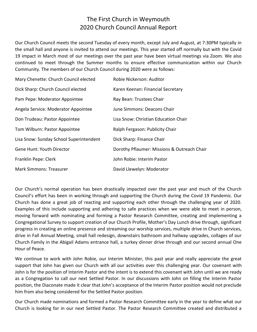## The First Church in Weymouth 2020 Church Council Annual Report

Our Church Council meets the second Tuesday of every month, except July and August, at 7:30PM typically in the small hall and anyone is invited to attend our meetings. This year started off normally but with the Covid 19 impact in March most of our meetings over the past year have been virtual meetings via Zoom. We also continued to meet through the Summer months to ensure effective communication within our Church Community. The members of our Church Council during 2020 were as follows:

| Mary Chenette: Church Council elected   | Robie Nickerson: Auditor                    |
|-----------------------------------------|---------------------------------------------|
| Dick Sharp: Church Council elected      | Karen Keenan: Financial Secretary           |
| Pam Pepe: Moderator Appointee           | Ray Bean: Trustees Chair                    |
| Angela Service: Moderator Appointee     | June Simmons: Deacons Chair                 |
| Don Trudeau: Pastor Appointee           | Lisa Snow: Christian Education Chair        |
| Tom Wilburn: Pastor Appointee           | Ralph Fergason: Publicity Chair             |
| Lisa Snow: Sunday School Superintendent | Dick Sharp: Finance Chair                   |
| <b>Gene Hunt: Youth Director</b>        | Dorothy Pflaumer: Missions & Outreach Chair |
| Franklin Pepe: Clerk                    | John Robie: Interim Pastor                  |
| <b>Mark Simmons: Treasurer</b>          | David Llewelyn: Moderator                   |

Our Church's normal operation has been drastically impacted over the past year and much of the Church Council's effort has been in working through and supporting the Church during the Covid 19 Pandemic. Our Church has done a great job of reacting and supporting each other through the challenging year of 2020. Examples of this include supporting and adhering to safe practices when we were able to meet in person, moving forward with nominating and forming a Pastor Research Committee, creating and implementing a Congregational Survey to support creation of our Church Profile, Mother's Day Lunch drive through, significant progress in creating an online presence and streaming our worship services, multiple drive in Church services, drive in Fall Annual Meeting, small hall redesign, downstairs bathroom and hallway upgrades, collages of our Church Family in the Abigail Adams entrance hall, a turkey dinner drive through and our second annual One Hour of Peace.

We continue to work with John Robie, our Interim Minister, this past year and really appreciate the great support that John has given our Church with all our activities over this challenging year. Our covenant with John is for the position of Interim Pastor and the intent is to extend this covenant with John until we are ready as a Congregation to call our next Settled Pastor. In our discussions with John on filling the Interim Pastor position, the Diaconate made it clear that John's acceptance of the Interim Pastor position would not preclude him from also being considered for the Settled Pastor position.

Our Church made nominations and formed a Pastor Research Committee early in the year to define what our Church is looking for in our next Settled Pastor. The Pastor Research Committee created and distributed a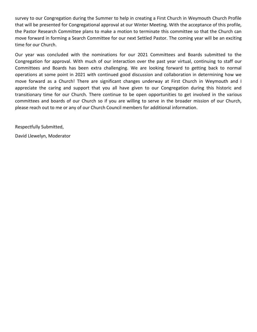survey to our Congregation during the Summer to help in creating a First Church in Weymouth Church Profile that will be presented for Congregational approval at our Winter Meeting. With the acceptance of this profile, the Pastor Research Committee plans to make a motion to terminate this committee so that the Church can move forward in forming a Search Committee for our next Settled Pastor. The coming year will be an exciting time for our Church.

Our year was concluded with the nominations for our 2021 Committees and Boards submitted to the Congregation for approval. With much of our interaction over the past year virtual, continuing to staff our Committees and Boards has been extra challenging. We are looking forward to getting back to normal operations at some point in 2021 with continued good discussion and collaboration in determining how we move forward as a Church! There are significant changes underway at First Church in Weymouth and I appreciate the caring and support that you all have given to our Congregation during this historic and transitionary time for our Church. There continue to be open opportunities to get involved in the various committees and boards of our Church so if you are willing to serve in the broader mission of our Church, please reach out to me or any of our Church Council members for additional information.

Respectfully Submitted,

David Llewelyn, Moderator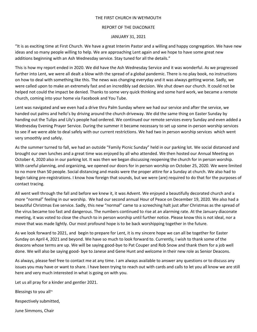## THE FIRST CHURCH IN WEYMOUTH

#### REPORT OF THE DIACONATE

## JANUARY 31, 2021

"It is as exciting time at First Church. We have a great Interim Pastor and a willing and happy congregation. We have new ideas and so many people willing to help. We are approaching Lent again and we hope to have some great new additions beginning with an Ash Wednesday service. Stay tuned for all the details."

This is how my report ended in 2020. We did have the Ash Wednesday Service and it was wonderful. As we progressed further into Lent, we were all dealt a blow with the spread of a global pandemic. There is no play book, no instructions on how to deal with something like this. The news was changing everyday and it was always getting worse. Sadly, we were called upon to make an extremely fast and an incredibly sad decision. We shut down our church. It could not be helped not could the impact be denied. Thanks to some very quick thinking and some hard work, we became a remote church, coming into your home via Facebook and You Tube.

Lent was navigated and we even had a drive thru Palm Sunday where we had our service and after the service, we handed out palms and hello's by driving around the church driveway. We did the same thing on Easter Sunday by handing out the Tulips and Lily's people had ordered. We continued our remote services every Sunday and even added a Wednesday Evening Prayer Service. During the summer it became necessary to set up some in-person worship services to see if we were able to deal safely with our current restrictions. We had two in person worship services which went very smoothly and safely.

As the summer turned to fall, we had an outside "Family Picnic Sunday" held in our parking lot. We social distanced and brought our own lunches and a great time was enjoyed by all who attended. We then hosted our Annual Meeting on October 4, 2020 also in our parking lot. It was then we began discussing reopening the church for in person worship. With careful planning, and organizing, we opened our doors for in person worship on October 25, 2020. We were limited to no more than 50 people. Social distancing and masks were the proper attire for a Sunday at church. We also had to begin taking pre-registrations. I know how foreign that sounds, but we were (are) required to do that for the purposes of contact tracing.

All went well through the fall and before we knew it, it was Advent. We enjoyed a beautifully decorated church and a more "normal" feeling in our worship. We had our second annual Hour of Peace on December 19, 2020. We also had a beautiful Christmas Eve service. Sadly, this new "normal" came to a screeching halt just after Christmas as the spread of the virus became too fast and dangerous. The numbers continued to rise at an alarming rate. At the January diaconate meeting, it was voted to close the church to in person worship until further notice. Please know this is not ideal, nor a move that was made lightly. Our most profound hope is to be back worshipping together in the future.

As we look forward to 2021, and begin to prepare for Lent, it is my sincere hope we can all be together for Easter Sunday on April 4, 2021 and beyond. We have so much to look forward to. Currently, I wish to thank some of the deacons whose terms are up. We will be saying good-bye to Pat Couper and Rob Snow and thank them for a job well done. We will also be saying good- bye to Janese and Gene Hunt and welcome in their new role as Senior Deacons.

As always, please feel free to contact me at any time. I am always available to answer any questions or to discuss any issues you may have or want to share. I have been trying to reach out with cards and calls to let you all know we are still here and very much interested in what is going on with you.

Let us all pray for a kinder and gentler 2021.

Blessings to you all~

Respectively submitted,

June Simmons, Chair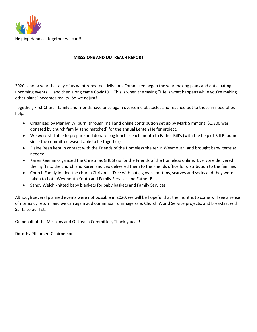

## **MISSSIONS AND OUTREACH REPORT**

2020 is not a year that any of us want repeated. Missions Committee began the year making plans and anticipating upcoming events……and then along came Covid19! This is when the saying "Life is what happens while you're making other plans" becomes reality! So we adjust!

Together, First Church family and friends have once again overcome obstacles and reached out to those in need of our help.

- Organized by Marilyn Wilburn, through mail and online contribution set up by Mark Simmons, \$1,300 was donated by church family (and matched) for the annual Lenten Heifer project.
- We were still able to prepare and donate bag lunches each month to Father Bill's (with the help of Bill Pflaumer since the committee wasn't able to be together)
- Elaine Bean kept in contact with the Friends of the Homeless shelter in Weymouth, and brought baby items as needed.
- Karen Keenan organized the Christmas Gift Stars for the Friends of the Homeless online. Everyone delivered their gifts to the church and Karen and Leo delivered them to the Friends office for distribution to the families
- Church Family loaded the church Christmas Tree with hats, gloves, mittens, scarves and socks and they were taken to both Weymouth Youth and Family Services and Father Bills.
- Sandy Welch knitted baby blankets for baby baskets and Family Services.

Although several planned events were not possible in 2020, we will be hopeful that the months to come will see a sense of normalcy return, and we can again add our annual rummage sale, Church World Service projects, and breakfast with Santa to our list.

On behalf of the Missions and Outreach Committee, Thank you all!

Dorothy Pflaumer, Chairperson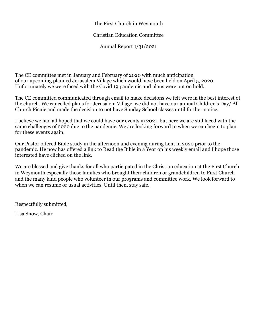## The First Church in Weymouth

## Christian Education Committee

Annual Report 1/31/2021

The CE committee met in January and February of 2020 with much anticipation of our upcoming planned Jerusalem Village which would have been held on April 5, 2020. Unfortunately we were faced with the Covid 19 pandemic and plans were put on hold.

The CE committed communicated through email to make decisions we felt were in the best interest of the church. We cancelled plans for Jerusalem Village, we did not have our annual Children's Day/ All Church Picnic and made the decision to not have Sunday School classes until further notice.

I believe we had all hoped that we could have our events in 2021, but here we are still faced with the same challenges of 2020 due to the pandemic. We are looking forward to when we can begin to plan for these events again.

Our Pastor offered Bible study in the afternoon and evening during Lent in 2020 prior to the pandemic. He now has offered a link to Read the Bible in a Year on his weekly email and I hope those interested have clicked on the link.

We are blessed and give thanks for all who participated in the Christian education at the First Church in Weymouth especially those families who brought their children or grandchildren to First Church and the many kind people who volunteer in our programs and committee work. We look forward to when we can resume or usual activities. Until then, stay safe.

Respectfully submitted,

Lisa Snow, Chair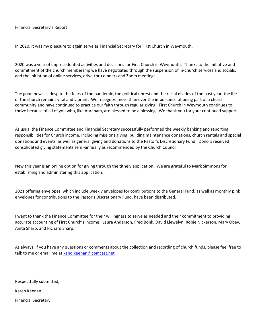In 2020, it was my pleasure to again serve as Financial Secretary for First Church in Weymouth.

2020 was a year of unprecedented activities and decisions for First Church in Weymouth. Thanks to the initiative and commitment of the church membership we have negotiated through the suspension of in-church services and socials, and the initiation of online services, drive-thru dinners and Zoom meetings.

The good news is, despite the fears of the pandemic, the political unrest and the racial divides of the past year, the life of the church remains vital and vibrant. We recognize more than ever the importance of being part of a church community and have continued to practice our faith through regular giving. First Church in Weymouth continues to thrive because of all of you who, like Abraham, are blessed to be a blessing. We thank you for your continued support.

As usual the Finance Committee and Financial Secretary successfully performed the weekly banking and reporting responsibilities for Church income, including missions giving, building maintenance donations, church rentals and special donations and events, as well as general giving and donations to the Pastor's Discretionary Fund. Donors received consolidated giving statements semi-annually as recommended by the Church Council.

New this year is an online option for giving through the tithely application. We are grateful to Mark Simmons for establishing and administering this application.

2021 offering envelopes, which include weekly envelopes for contributions to the General Fund, as well as monthly pink envelopes for contributions to the Pastor's Discretionary Fund, have been distributed.

I want to thank the Finance Committee for their willingness to serve as needed and their commitment to providing accurate accounting of First Church's income: Laura Anderson, Fred Bonk, David Llewelyn, Robie Nickerson, Mary Obey, Anita Sharp, and Richard Sharp.

As always, if you have any questions or comments about the collection and recording of church funds, please feel free to talk to me or email me at [kandlkeenan@comcast.net](mailto:kandlkeenan@comcast.net)

Respectfully submitted,

Karen Keenan

Financial Secretary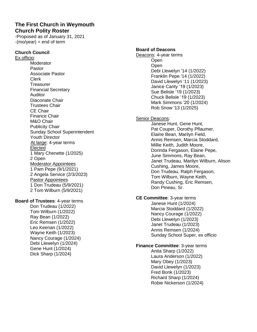## **The First Church in Weymouth Church Polity Roster**

-Proposed as of January 31, 2021  $-(\text{mo/year}) = \text{end of term}$ 

## **Church Council**

Ex officio: Moderator Pastor Associate Pastor Clerk **Treasurer** Financial Secretary Auditor Diaconate Chair Trustees Chair CE Chair Finance Chair M&O Chair Publicity Chair Sunday School Superintendent Youth Director At large: 4-year terms Elected 1 Mary Chenette (1/2025) 2 Open Moderator Appointees 1 Pam Pepe (9/1/2021) 2 Angela Service (2/3/2023) Pastor Appointees 1 Don Trudeau (5/9/2021) 2 Tom Wilburn (5/9/2021)

## **Board of Trustees**: 4-year terms

Don Trudeau (1/2022) Tom Wilburn (1/2022) Ray Bean (1/2022) Eric Remsen (1/2022) Leo Keenan (1/2022) Wayne Keith (1/2023) Nancy Courage (1/2024) Debi Llewelyn (1/2024) Gene Hunt (1/2024) Dick Sharp (1/2024)

## **Board of Deacons**

Deacons: 4-year terms Open **Open** Debi Llewelyn '14 (1/2022) Franklin Pepe '14 (1/2022) David Llewelyn '11 (1/2023) Janice Canty '19 (1/2023) Sue Belisle '19 (1/2023) Chuck Belisle '19 (1/2023) Mark Simmons '20 (1/2024) Rob Snow '13 (1/2025)

## Senior Deacons:

Janese Hunt, Gene Hunt, Pat Couper, Dorothy Pflaumer, Elaine Bean, Marilyn Field, Annis Remsen, Marcia Stoddard, Millie Keith, Judith Moore, Dorinda Fergason, Elaine Pepe, June Simmons, Ray Bean, Janet Trudeau, Marilyn Wilburn, Alison Cushing, James Moore, Don Trudeau, Ralph Fergason, Tom Wilburn, Wayne Keith, Randy Cushing, Eric Remsen, Don Pineau, Sr.

## **CE Committee**: 3-year terms

Janese Hunt (1/2024) Marcia Stoddard (1/2022) Nancy Courage (1/2022) Debi Llewelyn (1/2023) Janet Trudeau (1/2023) Annis Remsen (1/2024) Sunday School Super, ex officio

## **Finance Committee**: 3-year terms

Anita Sharp (1/2022) Laura Anderson (1/2022) Mary Obey (1/2023) David Llewelyn (1/2023) Fred Bonk (1/2023) Richard Sharp (1/2024) Robie Nickerson (1/2024)